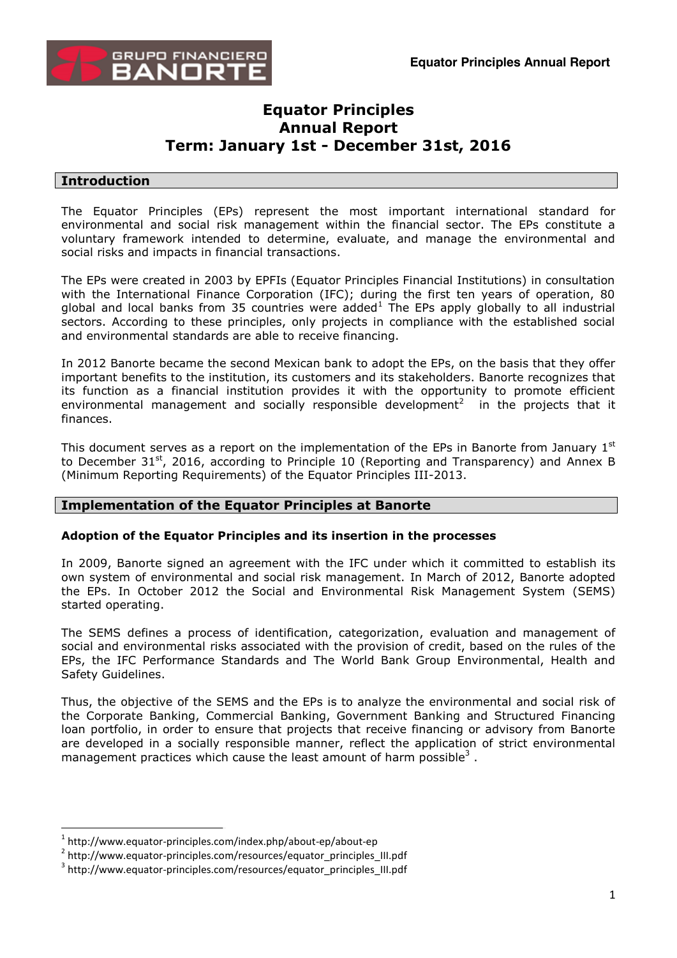

## **Equator Principles Annual Report Term: January 1st - December 31st, 2016**

#### **Introduction**

The Equator Principles (EPs) represent the most important international standard for environmental and social risk management within the financial sector. The EPs constitute a voluntary framework intended to determine, evaluate, and manage the environmental and social risks and impacts in financial transactions.

The EPs were created in 2003 by EPFIs (Equator Principles Financial Institutions) in consultation with the International Finance Corporation (IFC); during the first ten years of operation, 80 global and local banks from 35 countries were added<sup>1</sup> The EPs apply globally to all industrial sectors. According to these principles, only projects in compliance with the established social and environmental standards are able to receive financing.

In 2012 Banorte became the second Mexican bank to adopt the EPs, on the basis that they offer important benefits to the institution, its customers and its stakeholders. Banorte recognizes that its function as a financial institution provides it with the opportunity to promote efficient environmental management and socially responsible development<sup>2</sup> in the projects that it finances.

This document serves as a report on the implementation of the EPs in Banorte from January  $1<sup>st</sup>$ to December 31<sup>st</sup>, 2016, according to Principle 10 (Reporting and Transparency) and Annex B (Minimum Reporting Requirements) of the Equator Principles III-2013.

#### **Implementation of the Equator Principles at Banorte**

#### **Adoption of the Equator Principles and its insertion in the processes**

In 2009, Banorte signed an agreement with the IFC under which it committed to establish its own system of environmental and social risk management. In March of 2012, Banorte adopted the EPs. In October 2012 the Social and Environmental Risk Management System (SEMS) started operating.

The SEMS defines a process of identification, categorization, evaluation and management of social and environmental risks associated with the provision of credit, based on the rules of the EPs, the IFC Performance Standards and The World Bank Group Environmental, Health and Safety Guidelines.

Thus, the objective of the SEMS and the EPs is to analyze the environmental and social risk of the Corporate Banking, Commercial Banking, Government Banking and Structured Financing loan portfolio, in order to ensure that projects that receive financing or advisory from Banorte are developed in a socially responsible manner, reflect the application of strict environmental management practices which cause the least amount of harm possible<sup>3</sup>.

<sup>&</sup>lt;sup>1</sup> <http://www.equator-principles.com/index.php/about-ep/about-ep><br>  $\frac{2}{3}$  http://www.equator-principles.com/resources/equator\_principles\_III.pdf  $\frac{3}{3}$  http://www.equator-principles.com/resources/equator\_principles\_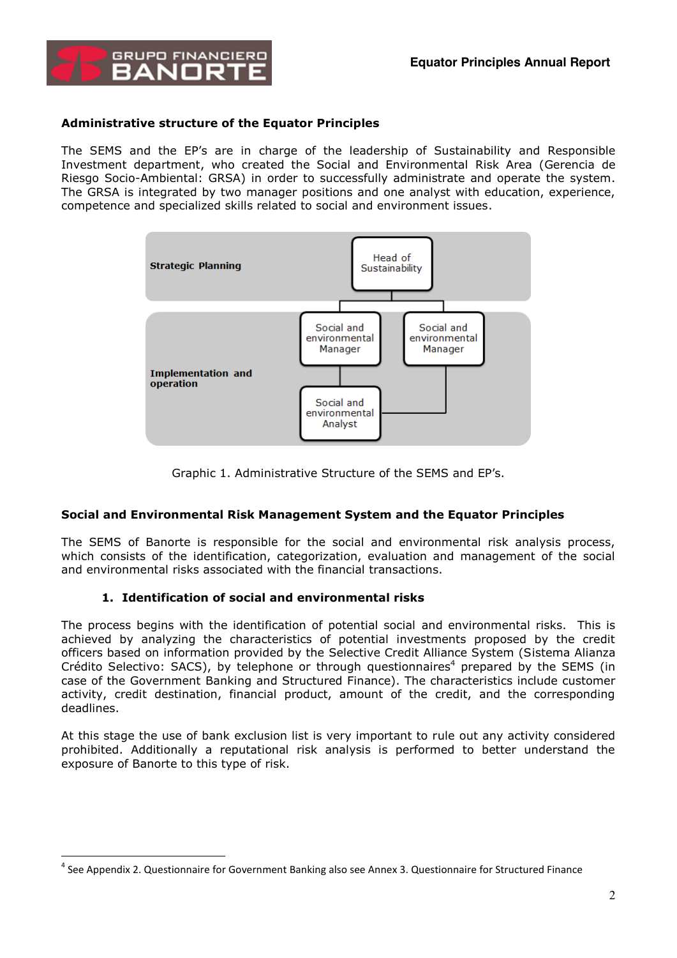



#### **Administrative structure of the Equator Principles**

The SEMS and the EP's are in charge of the leadership of Sustainability and Responsible Investment department, who created the Social and Environmental Risk Area (Gerencia de Riesgo Socio-Ambiental: GRSA) in order to successfully administrate and operate the system. The GRSA is integrated by two manager positions and one analyst with education, experience, competence and specialized skills related to social and environment issues.



Graphic 1. Administrative Structure of the SEMS and EP's.

#### **Social and Environmental Risk Management System and the Equator Principles**

The SEMS of Banorte is responsible for the social and environmental risk analysis process, which consists of the identification, categorization, evaluation and management of the social and environmental risks associated with the financial transactions.

#### **1. Identification of social and environmental risks**

The process begins with the identification of potential social and environmental risks. This is achieved by analyzing the characteristics of potential investments proposed by the credit officers based on information provided by the Selective Credit Alliance System (Sistema Alianza  $Crédito Selectivo: SACS)$ , by telephone or through questionnaires<sup>4</sup> prepared by the SEMS (in case of the Government Banking and Structured Finance). The characteristics include customer activity, credit destination, financial product, amount of the credit, and the corresponding deadlines.

At this stage the use of bank exclusion list is very important to rule out any activity considered prohibited. Additionally a reputational risk analysis is performed to better understand the exposure of Banorte to this type of risk.

 $^4$  See Appendix 2. Questionnaire for Government Banking also see Annex 3. Questionnaire for Structured Finance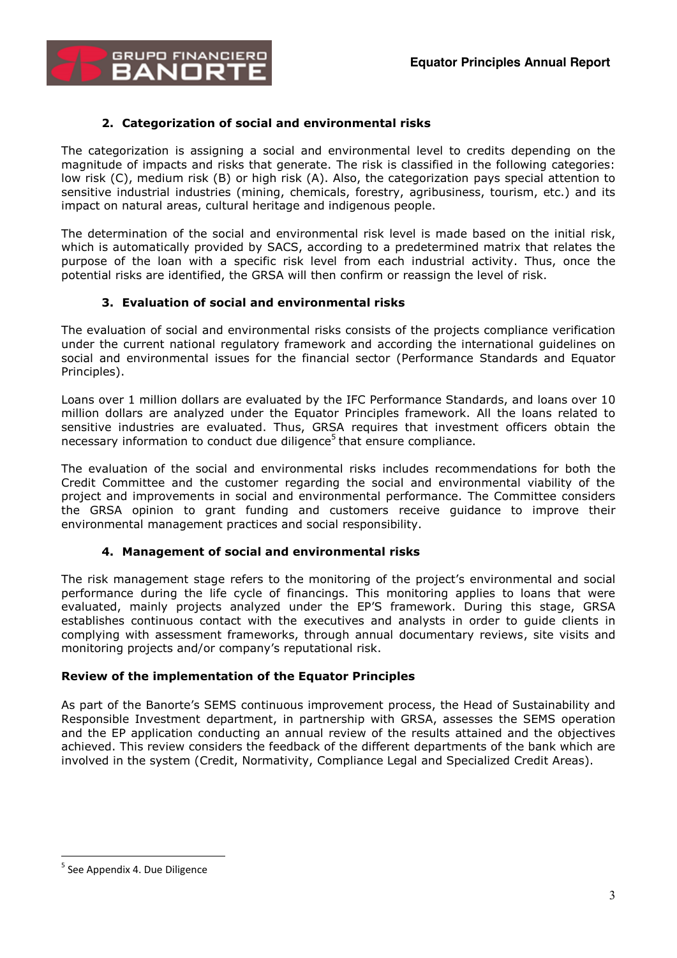

## **2. Categorization of social and environmental risks**

The categorization is assigning a social and environmental level to credits depending on the magnitude of impacts and risks that generate. The risk is classified in the following categories: low risk (C), medium risk (B) or high risk (A). Also, the categorization pays special attention to sensitive industrial industries (mining, chemicals, forestry, agribusiness, tourism, etc.) and its impact on natural areas, cultural heritage and indigenous people.

The determination of the social and environmental risk level is made based on the initial risk, which is automatically provided by SACS, according to a predetermined matrix that relates the purpose of the loan with a specific risk level from each industrial activity. Thus, once the potential risks are identified, the GRSA will then confirm or reassign the level of risk.

#### **3. Evaluation of social and environmental risks**

The evaluation of social and environmental risks consists of the projects compliance verification under the current national regulatory framework and according the international guidelines on social and environmental issues for the financial sector (Performance Standards and Equator Principles).

Loans over 1 million dollars are evaluated by the IFC Performance Standards, and loans over 10 million dollars are analyzed under the Equator Principles framework. All the loans related to sensitive industries are evaluated. Thus, GRSA requires that investment officers obtain the necessary information to conduct due diligence<sup>5</sup> that ensure compliance.

The evaluation of the social and environmental risks includes recommendations for both the Credit Committee and the customer regarding the social and environmental viability of the project and improvements in social and environmental performance. The Committee considers the GRSA opinion to grant funding and customers receive guidance to improve their environmental management practices and social responsibility.

#### **4. Management of social and environmental risks**

The risk management stage refers to the monitoring of the project's environmental and social performance during the life cycle of financings. This monitoring applies to loans that were evaluated, mainly projects analyzed under the EP'S framework. During this stage, GRSA establishes continuous contact with the executives and analysts in order to guide clients in complying with assessment frameworks, through annual documentary reviews, site visits and monitoring projects and/or company's reputational risk.

#### **Review of the implementation of the Equator Principles**

As part of the Banorte's SEMS continuous improvement process, the Head of Sustainability and Responsible Investment department, in partnership with GRSA, assesses the SEMS operation and the EP application conducting an annual review of the results attained and the objectives achieved. This review considers the feedback of the different departments of the bank which are involved in the system (Credit, Normativity, Compliance Legal and Specialized Credit Areas).

 $<sup>5</sup>$  See Appendix 4. Due Diligence</sup>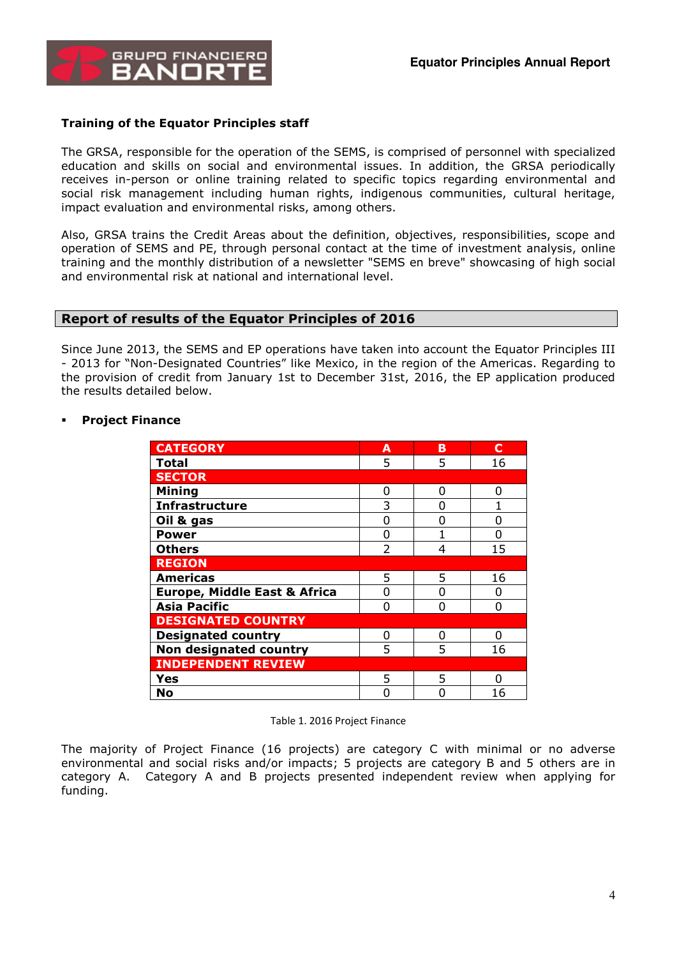

#### **Training of the Equator Principles staff**

The GRSA, responsible for the operation of the SEMS, is comprised of personnel with specialized education and skills on social and environmental issues. In addition, the GRSA periodically receives in-person or online training related to specific topics regarding environmental and social risk management including human rights, indigenous communities, cultural heritage, impact evaluation and environmental risks, among others.

Also, GRSA trains the Credit Areas about the definition, objectives, responsibilities, scope and operation of SEMS and PE, through personal contact at the time of investment analysis, online training and the monthly distribution of a newsletter "SEMS en breve" showcasing of high social and environmental risk at national and international level.

#### **Report of results of the Equator Principles of 2016**

Since June 2013, the SEMS and EP operations have taken into account the Equator Principles III - 2013 for "Non-Designated Countries" like Mexico, in the region of the Americas. Regarding to the provision of credit from January 1st to December 31st, 2016, the EP application produced the results detailed below.

| <b>CATEGORY</b>                         | A              | в | C  |
|-----------------------------------------|----------------|---|----|
| Total                                   | 5              | 5 | 16 |
| <b>SECTOR</b>                           |                |   |    |
| <b>Mining</b>                           | O              | O | n  |
| <b>Infrastructure</b>                   | 3              | O |    |
| Oil & gas                               | U              | ŋ | ŋ  |
| <b>Power</b>                            | 0              |   | n  |
| <b>Others</b>                           | $\overline{2}$ | 4 | 15 |
| <b>REGION</b>                           |                |   |    |
| <b>Americas</b>                         | 5              | 5 | 16 |
| <b>Europe, Middle East &amp; Africa</b> | U              | U | O  |
| <b>Asia Pacific</b>                     | U              | U | n  |
| <b>DESIGNATED COUNTRY</b>               |                |   |    |
| <b>Designated country</b>               | 0              | O | n  |
| Non designated country                  | 5              | 5 | 16 |
| <b>INDEPENDENT REVIEW</b>               |                |   |    |
| Yes                                     | 5              | 5 |    |
| No                                      | n              |   | 16 |

#### Table 1. 2016 Project Finance

The majority of Project Finance (16 projects) are category C with minimal or no adverse environmental and social risks and/or impacts; 5 projects are category B and 5 others are in category A. Category A and B projects presented independent review when applying for funding.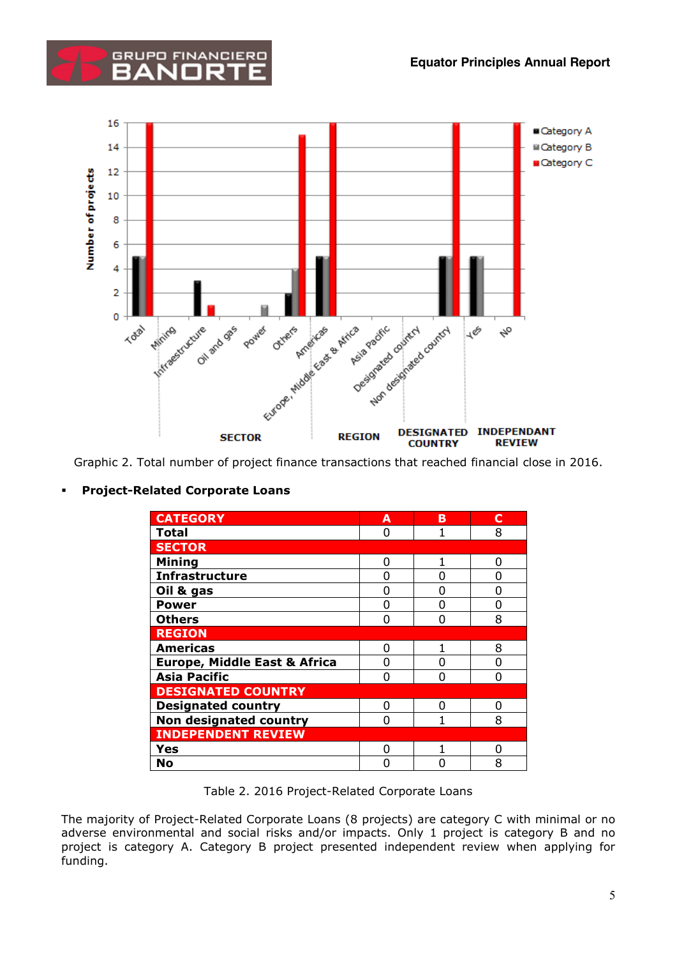



Graphic 2. Total number of project finance transactions that reached financial close in 2016.

| <b>CATEGORY</b>                         | A | в | C |
|-----------------------------------------|---|---|---|
| Total                                   | U | 1 | 8 |
| <b>SECTOR</b>                           |   |   |   |
| <b>Mining</b>                           | ŋ | 1 | n |
| <b>Infrastructure</b>                   | ი | ŋ | n |
| Oil & gas                               | ი | N | n |
| <b>Power</b>                            | O | U | ŋ |
| Others                                  | O | ŋ | 8 |
| <b>REGION</b>                           |   |   |   |
| <b>Americas</b>                         | O | 1 | 8 |
| <b>Europe, Middle East &amp; Africa</b> | n | O | n |
| <b>Asia Pacific</b>                     | ŋ | ŋ | ი |
| <b>DESIGNATED COUNTRY</b>               |   |   |   |
| <b>Designated country</b>               | O | 0 | ŋ |
| Non designated country                  | n |   | 8 |
| <b>INDEPENDENT REVIEW</b>               |   |   |   |
| Yes                                     | n |   | O |
| No                                      |   |   | 8 |

## **Project-Related Corporate Loans**

Table 2. 2016 Project-Related Corporate Loans

The majority of Project-Related Corporate Loans (8 projects) are category C with minimal or no adverse environmental and social risks and/or impacts. Only 1 project is category B and no project is category A. Category B project presented independent review when applying for funding.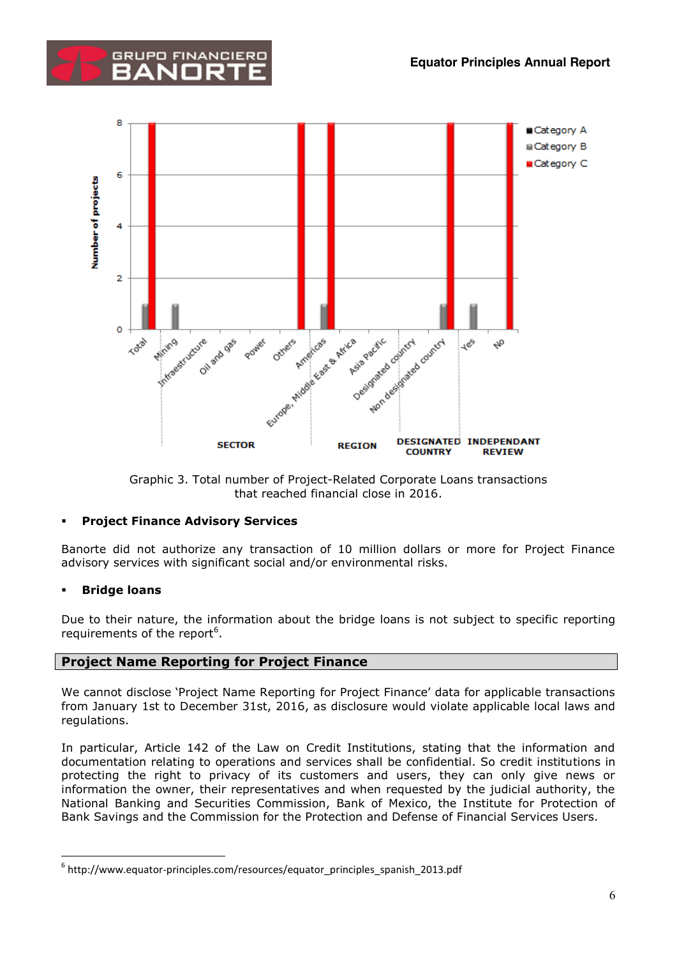



Graphic 3. Total number of Project-Related Corporate Loans transactions that reached financial close in 2016.

## **Project Finance Advisory Services**

Banorte did not authorize any transaction of 10 million dollars or more for Project Finance advisory services with significant social and/or environmental risks.

#### **Bridge loans**

Due to their nature, the information about the bridge loans is not subject to specific reporting requirements of the report<sup>6</sup>.

## **Project Name Reporting for Project Finance**

We cannot disclose 'Project Name Reporting for Project Finance' data for applicable transactions from January 1st to December 31st, 2016, as disclosure would violate applicable local laws and regulations.

In particular, Article 142 of the Law on Credit Institutions, stating that the information and documentation relating to operations and services shall be confidential. So credit institutions in protecting the right to privacy of its customers and users, they can only give news or information the owner, their representatives and when requested by the judicial authority, the National Banking and Securities Commission, Bank of Mexico, the Institute for Protection of Bank Savings and the Commission for the Protection and Defense of Financial Services Users.

 $6$  http://www.equator-principles.com/resources/equator\_principles\_spanish\_2013.pdf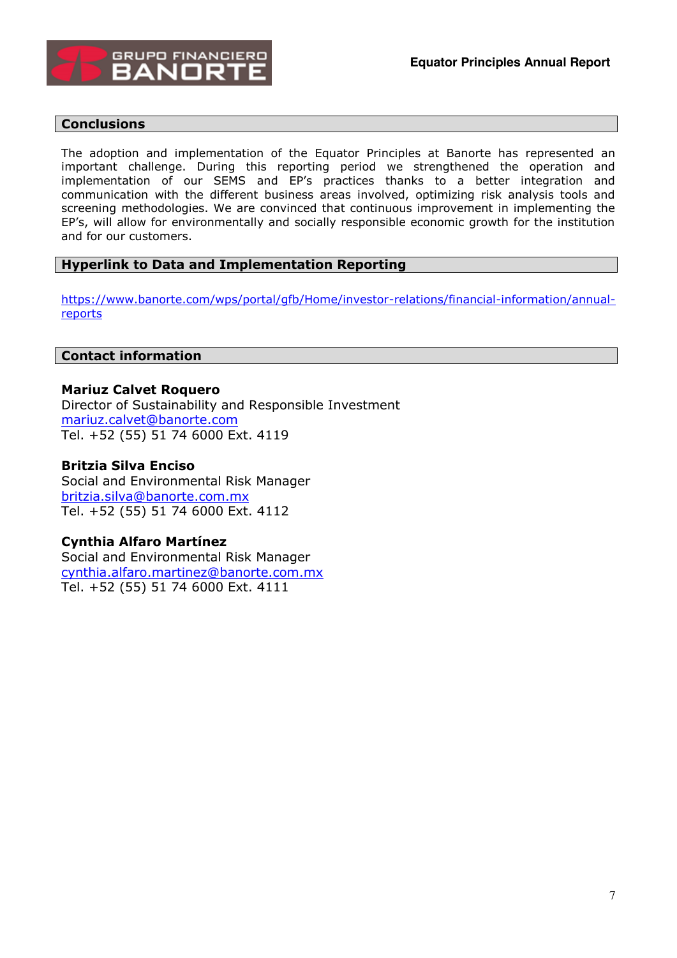

#### **Conclusions**

The adoption and implementation of the Equator Principles at Banorte has represented an important challenge. During this reporting period we strengthened the operation and implementation of our SEMS and EP's practices thanks to a better integration and communication with the different business areas involved, optimizing risk analysis tools and screening methodologies. We are convinced that continuous improvement in implementing the EP's, will allow for environmentally and socially responsible economic growth for the institution and for our customers.

#### **Hyperlink to Data and Implementation Reporting**

[https://www.banorte.com/wps/portal/gfb/Home/investor-relations/financial-information/annual](https://www.banorte.com/wps/portal/gfb/Home/investor-relations/financial-information/annual-reports)[reports](https://www.banorte.com/wps/portal/gfb/Home/investor-relations/financial-information/annual-reports)

#### **Contact information**

#### **Mariuz Calvet Roquero**

Director of Sustainability and Responsible Investment [mariuz.calvet@banorte.com](mailto:mariuz.calvet@banorte.com) Tel. +52 (55) 51 74 6000 Ext. 4119

#### **Britzia Silva Enciso**

Social and Environmental Risk Manager [britzia.silva@banorte.com.mx](mailto:britzia.silva@banorte.com.mx) Tel. +52 (55) 51 74 6000 Ext. 4112

#### **Cynthia Alfaro Martínez**

Social and Environmental Risk Manager [cynthia.alfaro.martinez@banorte.com.mx](mailto:cynthia.alfaro.martinez@banorte.com.mx) Tel. +52 (55) 51 74 6000 Ext. 4111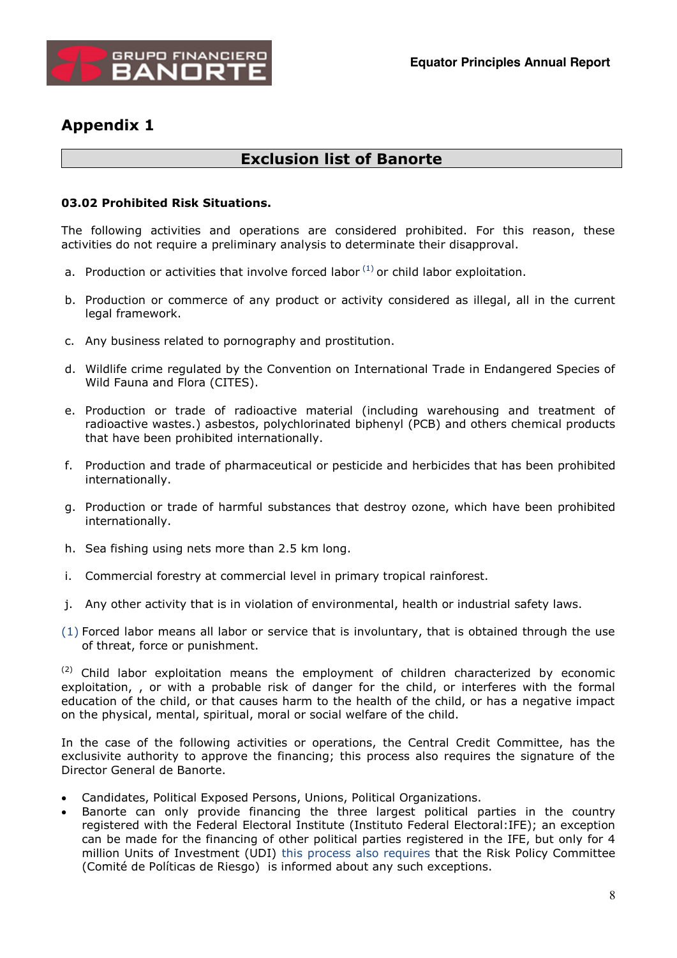

## **Exclusion list of Banorte**

#### **03.02 Prohibited Risk Situations.**

The following activities and operations are considered prohibited. For this reason, these activities do not require a preliminary analysis to determinate their disapproval.

- a. Production or activities that involve forced labor  $(1)$  or child labor exploitation.
- b. Production or commerce of any product or activity considered as illegal, all in the current legal framework.
- c. Any business related to pornography and prostitution.
- d. Wildlife crime regulated by the Convention on International Trade in Endangered Species of Wild Fauna and Flora (CITES).
- e. Production or trade of radioactive material (including warehousing and treatment of radioactive wastes.) asbestos, polychlorinated biphenyl (PCB) and others chemical products that have been prohibited internationally.
- f. Production and trade of pharmaceutical or pesticide and herbicides that has been prohibited internationally.
- g. Production or trade of harmful substances that destroy ozone, which have been prohibited internationally.
- h. Sea fishing using nets more than 2.5 km long.
- i. Commercial forestry at commercial level in primary tropical rainforest.
- j. Any other activity that is in violation of environmental, health or industrial safety laws.
- (1) Forced labor means all labor or service that is involuntary, that is obtained through the use of threat, force or punishment.

 $(2)$  Child labor exploitation means the employment of children characterized by economic exploitation, , or with a probable risk of danger for the child, or interferes with the formal education of the child, or that causes harm to the health of the child, or has a negative impact on the physical, mental, spiritual, moral or social welfare of the child.

In the case of the following activities or operations, the Central Credit Committee, has the exclusivite authority to approve the financing; this process also requires the signature of the Director General de Banorte.

- x Candidates, Political Exposed Persons, Unions, Political Organizations.
- Banorte can only provide financing the three largest political parties in the country registered with the Federal Electoral Institute (Instituto Federal Electoral:IFE); an exception can be made for the financing of other political parties registered in the IFE, but only for 4 million Units of Investment (UDI) this process also requires that the Risk Policy Committee (Comité de Políticas de Riesgo) is informed about any such exceptions.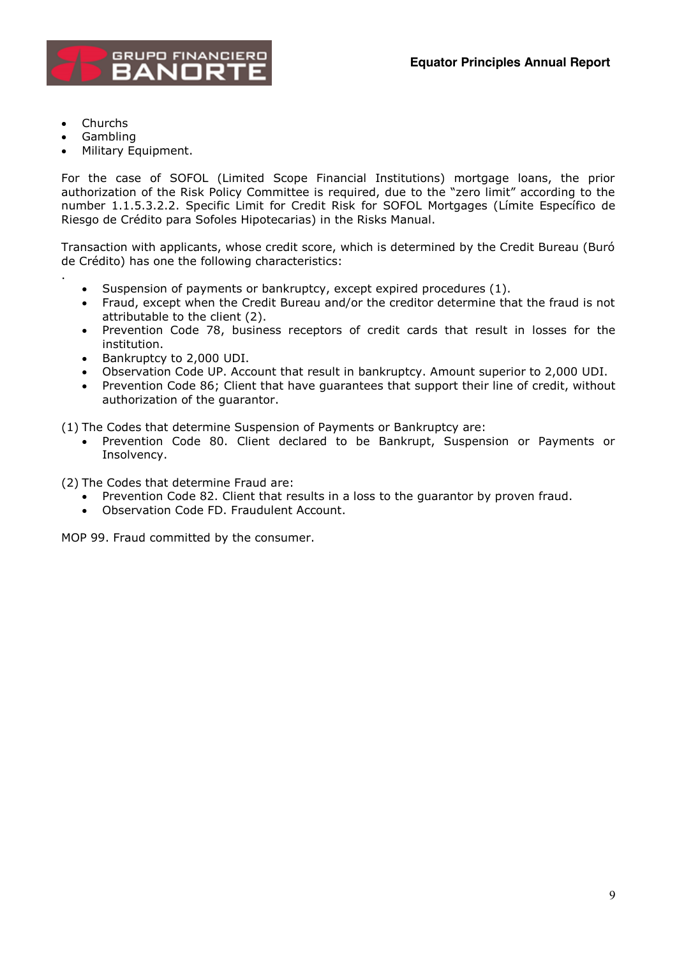

Churchs

.

- **Gambling**
- Military Equipment.

For the case of SOFOL (Limited Scope Financial Institutions) mortgage loans, the prior authorization of the Risk Policy Committee is required, due to the "zero limit" according to the number 1.1.5.3.2.2. Specific Limit for Credit Risk for SOFOL Mortgages (Límite Específico de Riesgo de Crédito para Sofoles Hipotecarias) in the Risks Manual.

Transaction with applicants, whose credit score, which is determined by the Credit Bureau (Buró de Crédito) has one the following characteristics:

- Suspension of payments or bankruptcy, except expired procedures (1).
- Fraud, except when the Credit Bureau and/or the creditor determine that the fraud is not attributable to the client (2).
- Prevention Code 78, business receptors of credit cards that result in losses for the institution.
- Bankruptcy to 2,000 UDI.
- Observation Code UP. Account that result in bankruptcy. Amount superior to 2,000 UDI.
- Prevention Code 86; Client that have guarantees that support their line of credit, without authorization of the guarantor.

(1) The Codes that determine Suspension of Payments or Bankruptcy are:

Prevention Code 80. Client declared to be Bankrupt, Suspension or Payments or Insolvency.

(2) The Codes that determine Fraud are:

- Prevention Code 82. Client that results in a loss to the quarantor by proven fraud.
- Observation Code FD. Fraudulent Account.

MOP 99. Fraud committed by the consumer.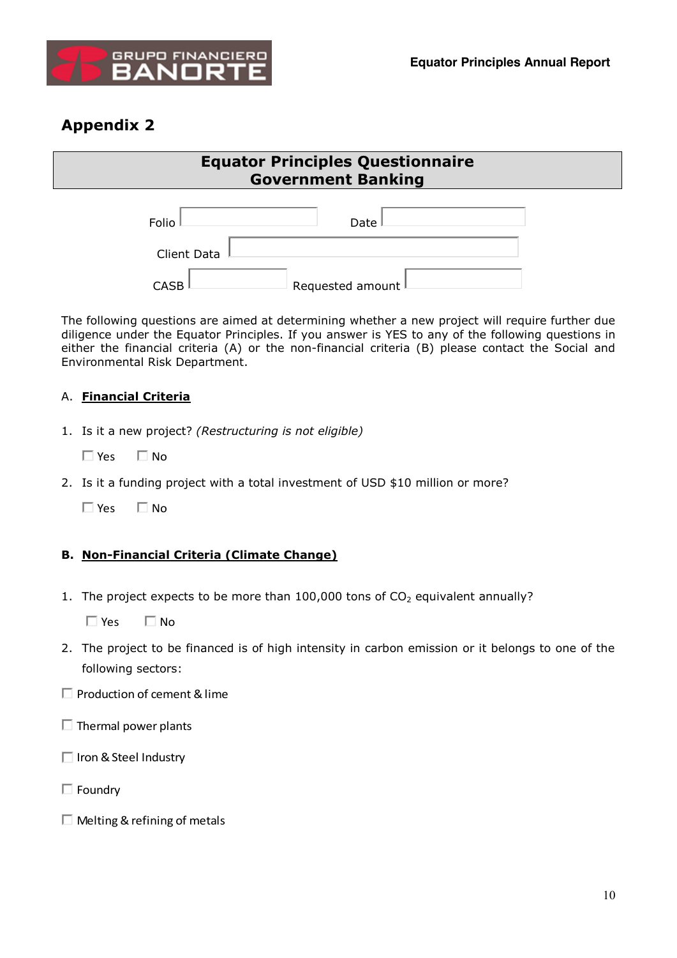

# **Equator Principles Questionnaire Government Banking**

| Folio       | Date               |  |
|-------------|--------------------|--|
| Client Data |                    |  |
| <b>CASR</b> | Requested amount L |  |

The following questions are aimed at determining whether a new project will require further due diligence under the Equator Principles. If you answer is YES to any of the following questions in either the financial criteria (A) or the non-financial criteria (B) please contact the Social and Environmental Risk Department.

## A. **Financial Criteria**

- 1. Is it a new project? *(Restructuring is not eligible)*
	- $\Box$  Yes  $\Box$  No.
- 2. Is it a funding project with a total investment of USD \$10 million or more?
	- $\Box$  Yes  $\Box$  No

#### **B. Non-Financial Criteria (Climate Change)**

1. The project expects to be more than 100,000 tons of  $CO<sub>2</sub>$  equivalent annually?

 $\Box$  Yes  $\Box$  No

2. The project to be financed is of high intensity in carbon emission or it belongs to one of the following sectors:

 $\square$  Production of cement & lime

 $\Box$  Thermal power plants

- $\Box$  Iron & Steel Industry
- $\Box$  Foundry
- $\Box$  Melting & refining of metals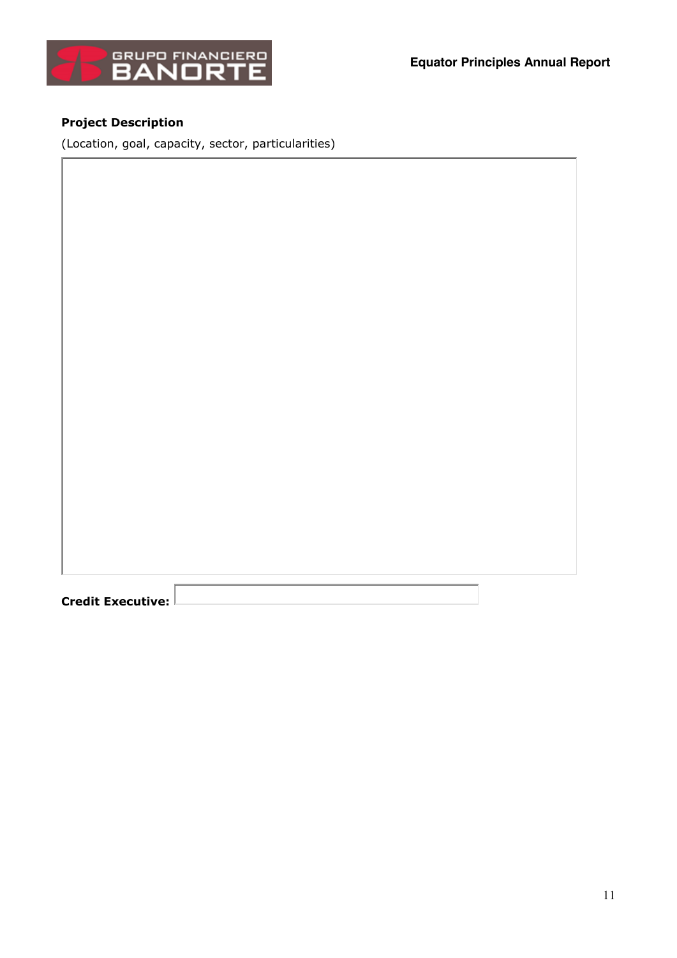

## **Project Description**

(Location, goal, capacity, sector, particularities)

**Credit Executive:**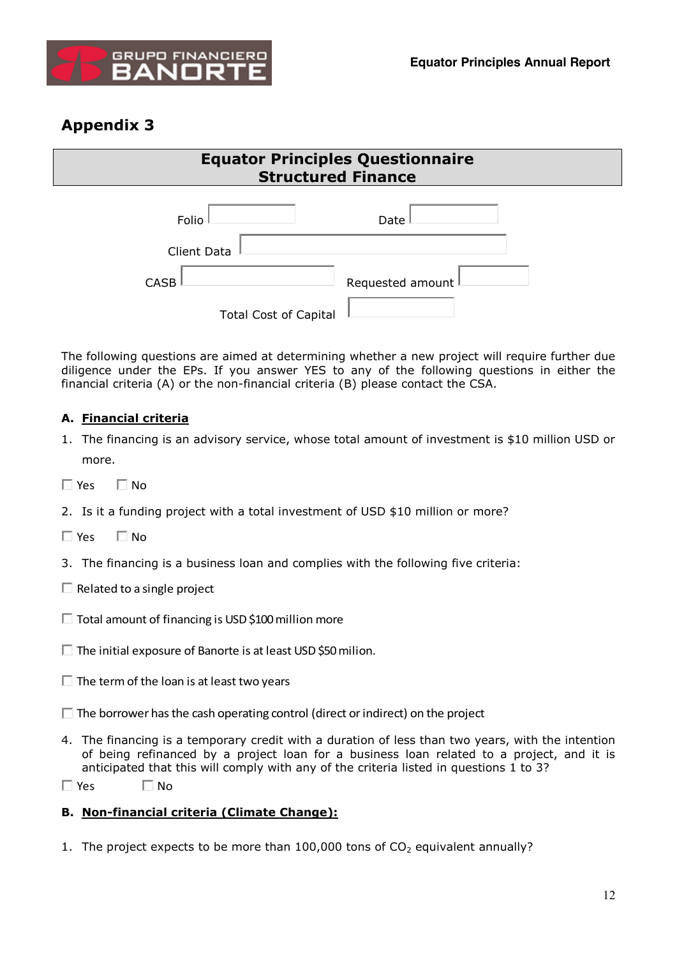

# **Equator Principles Questionnaire Structured Finance**

|             | Folio       |                              | Date             |  |
|-------------|-------------|------------------------------|------------------|--|
|             | Client Data |                              |                  |  |
| <b>CASB</b> |             |                              | Requested amount |  |
|             |             | <b>Total Cost of Capital</b> |                  |  |

The following questions are aimed at determining whether a new project will require further due diligence under the EPs. If you answer YES to any of the following questions in either the financial criteria (A) or the non-financial criteria (B) please contact the CSA.

## **A. Financial criteria**

- 1. The financing is an advisory service, whose total amount of investment is \$10 million USD or more.
- $\Box$  Yes  $\Box$  No
- 2. Is it a funding project with a total investment of USD \$10 million or more?
- $\Box$  Yes  $\Box$  No
- 3. The financing is a business loan and complies with the following five criteria:
- $\square$  Related to a single project
- $\Box$  Total amount of financing is USD \$100 million more
- $\square$  The initial exposure of Banorte is at least USD \$50 milion.
- $\Box$  The term of the loan is at least two years
- $\Box$  The borrower has the cash operating control (direct or indirect) on the project
- 4. The financing is a temporary credit with a duration of less than two years, with the intention of being refinanced by a project loan for a business loan related to a project, and it is anticipated that this will comply with any of the criteria listed in questions 1 to 3?
- $\Box$  Yes  $\Box$  No

## **B. Non-financial criteria (Climate Change):**

1. The project expects to be more than 100,000 tons of  $CO<sub>2</sub>$  equivalent annually?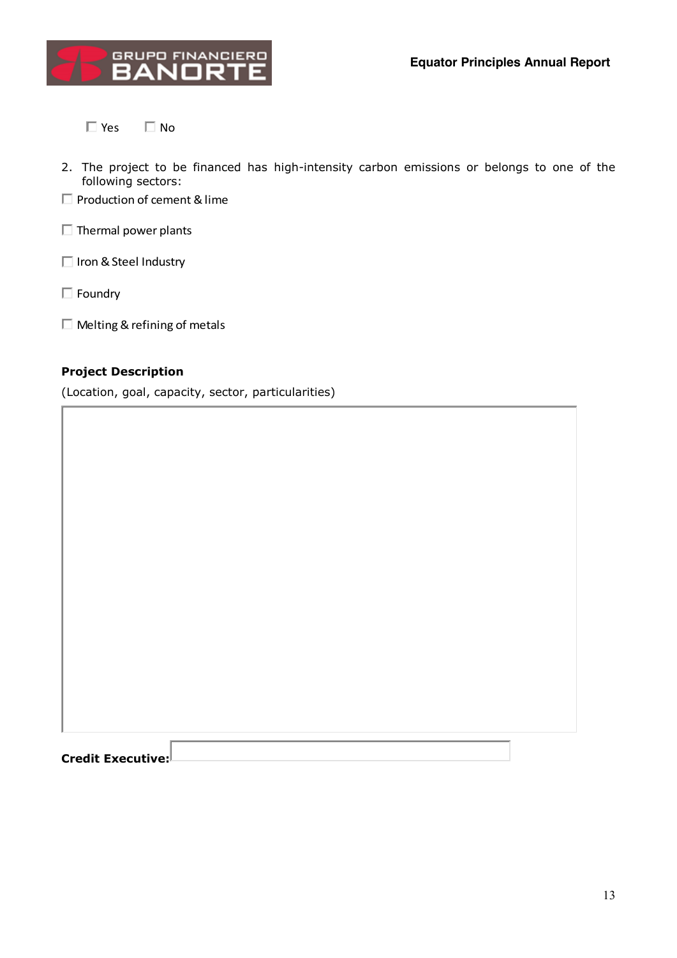

□ Yes □ No

- 2. The project to be financed has high-intensity carbon emissions or belongs to one of the following sectors:
- $\square$  Production of cement & lime
- $\Box$  Thermal power plants
- □ Iron & Steel Industry
- $\Box$  Foundry
- $\square$  Melting & refining of metals

#### **Project Description**

(Location, goal, capacity, sector, particularities)

**Credit Executive:**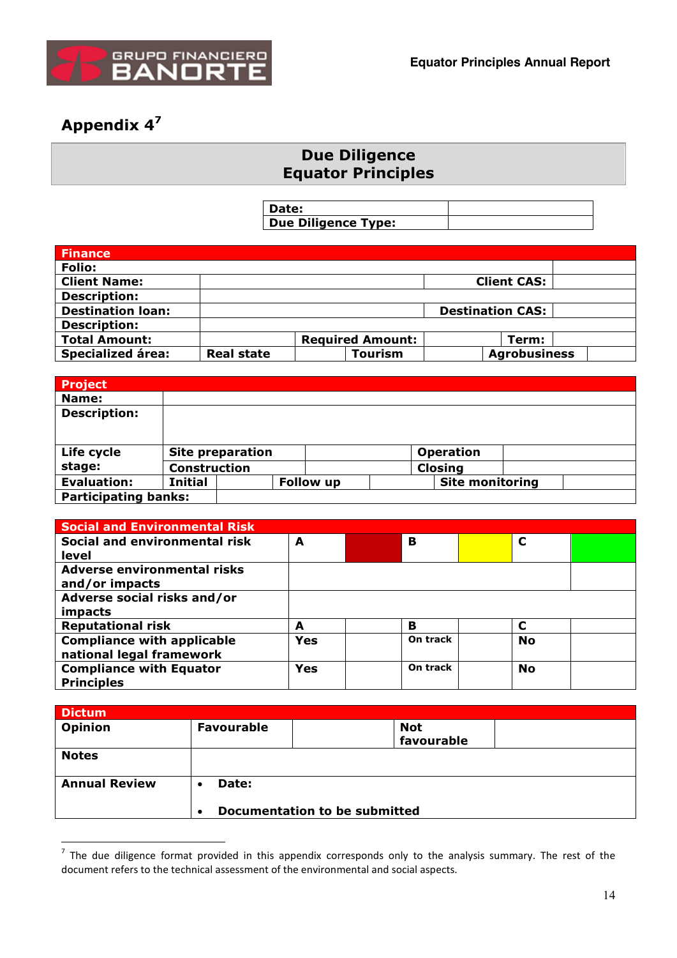

# **Due Diligence Equator Principles**

**Date: Due Diligence Type:**

| <b>Finance</b>           |                   |                         |                         |  |
|--------------------------|-------------------|-------------------------|-------------------------|--|
| <b>Folio:</b>            |                   |                         |                         |  |
| <b>Client Name:</b>      |                   |                         | <b>Client CAS:</b>      |  |
| <b>Description:</b>      |                   |                         |                         |  |
| <b>Destination loan:</b> |                   |                         | <b>Destination CAS:</b> |  |
| <b>Description:</b>      |                   |                         |                         |  |
| <b>Total Amount:</b>     |                   | <b>Required Amount:</b> | Term:                   |  |
| Specialized área:        | <b>Real state</b> | Tourism                 | <b>Agrobusiness</b>     |  |

| <b>Project</b>              |                     |                         |                  |                        |  |
|-----------------------------|---------------------|-------------------------|------------------|------------------------|--|
| Name:                       |                     |                         |                  |                        |  |
| <b>Description:</b>         |                     |                         |                  |                        |  |
|                             |                     |                         |                  |                        |  |
|                             |                     |                         |                  |                        |  |
| Life cycle                  |                     | <b>Site preparation</b> |                  | <b>Operation</b>       |  |
| stage:                      | <b>Construction</b> |                         |                  | <b>Closing</b>         |  |
| <b>Evaluation:</b>          | <b>Initial</b>      |                         | <b>Follow up</b> | <b>Site monitoring</b> |  |
| <b>Participating banks:</b> |                     |                         |                  |                        |  |

| <b>Social and Environmental Risk</b>                          |     |          |           |  |
|---------------------------------------------------------------|-----|----------|-----------|--|
| Social and environmental risk<br>level                        | A   | в        | C         |  |
| <b>Adverse environmental risks</b><br>and/or impacts          |     |          |           |  |
| Adverse social risks and/or<br>impacts                        |     |          |           |  |
| <b>Reputational risk</b>                                      | A   | в        | C         |  |
| <b>Compliance with applicable</b><br>national legal framework | Yes | On track | <b>No</b> |  |
| <b>Compliance with Equator</b><br><b>Principles</b>           | Yes | On track | <b>No</b> |  |

| <b>Dictum</b>        |                                                   |            |  |
|----------------------|---------------------------------------------------|------------|--|
| <b>Opinion</b>       | <b>Favourable</b>                                 | <b>Not</b> |  |
|                      |                                                   | favourable |  |
| <b>Notes</b>         |                                                   |            |  |
| <b>Annual Review</b> | Date:                                             |            |  |
|                      | <b>Documentation to be submitted</b><br>$\bullet$ |            |  |

 $7$  The due diligence format provided in this appendix corresponds only to the analysis summary. The rest of the document refers to the technical assessment of the environmental and social aspects.